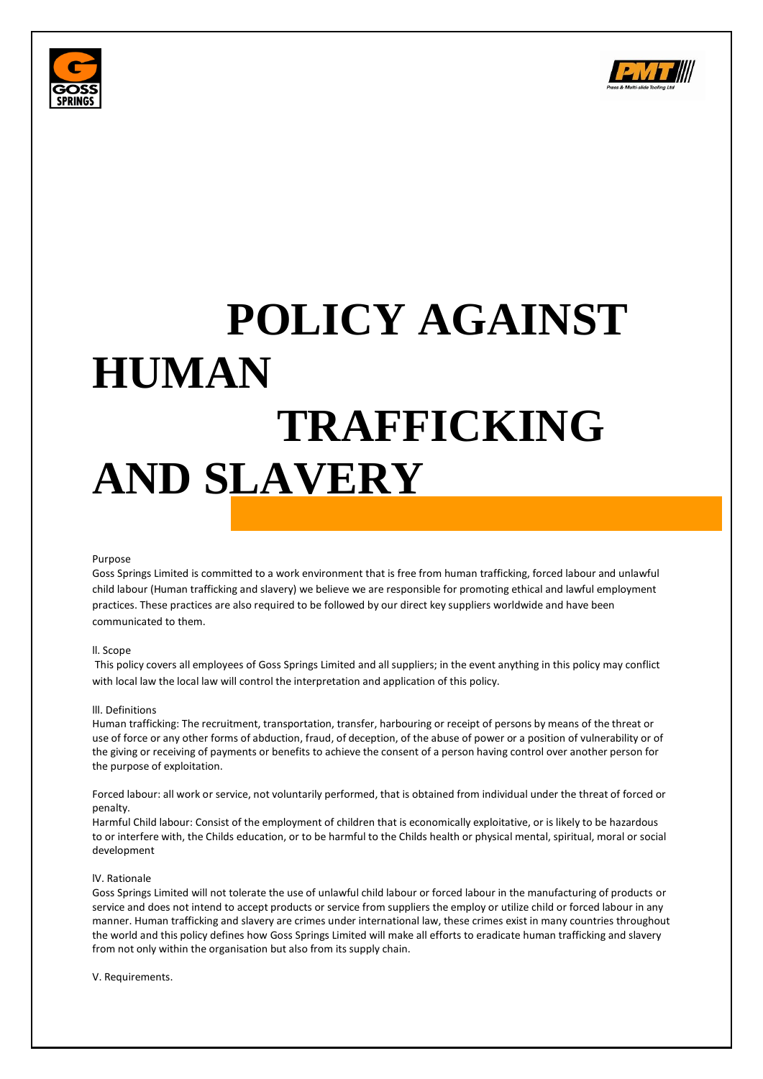



# **POLICY AGAINST HUMAN TRAFFICKING AND SLAVERY**

### Purpose

Goss Springs Limited is committed to a work environment that is free from human trafficking, forced labour and unlawful child labour (Human trafficking and slavery) we believe we are responsible for promoting ethical and lawful employment practices. These practices are also required to be followed by our direct key suppliers worldwide and have been communicated to them.

# ll. Scope

This policy covers all employees of Goss Springs Limited and all suppliers; in the event anything in this policy may conflict with local law the local law will control the interpretation and application of this policy.

### lll. Definitions

Human trafficking: The recruitment, transportation, transfer, harbouring or receipt of persons by means of the threat or use of force or any other forms of abduction, fraud, of deception, of the abuse of power or a position of vulnerability or of the giving or receiving of payments or benefits to achieve the consent of a person having control over another person for the purpose of exploitation.

Forced labour: all work or service, not voluntarily performed, that is obtained from individual under the threat of forced or penalty.

Harmful Child labour: Consist of the employment of children that is economically exploitative, or is likely to be hazardous to or interfere with, the Childs education, or to be harmful to the Childs health or physical mental, spiritual, moral or social development

### lV. Rationale

Goss Springs Limited will not tolerate the use of unlawful child labour or forced labour in the manufacturing of products or service and does not intend to accept products or service from suppliers the employ or utilize child or forced labour in any manner. Human trafficking and slavery are crimes under international law, these crimes exist in many countries throughout the world and this policy defines how Goss Springs Limited will make all efforts to eradicate human trafficking and slavery from not only within the organisation but also from its supply chain.

V. Requirements.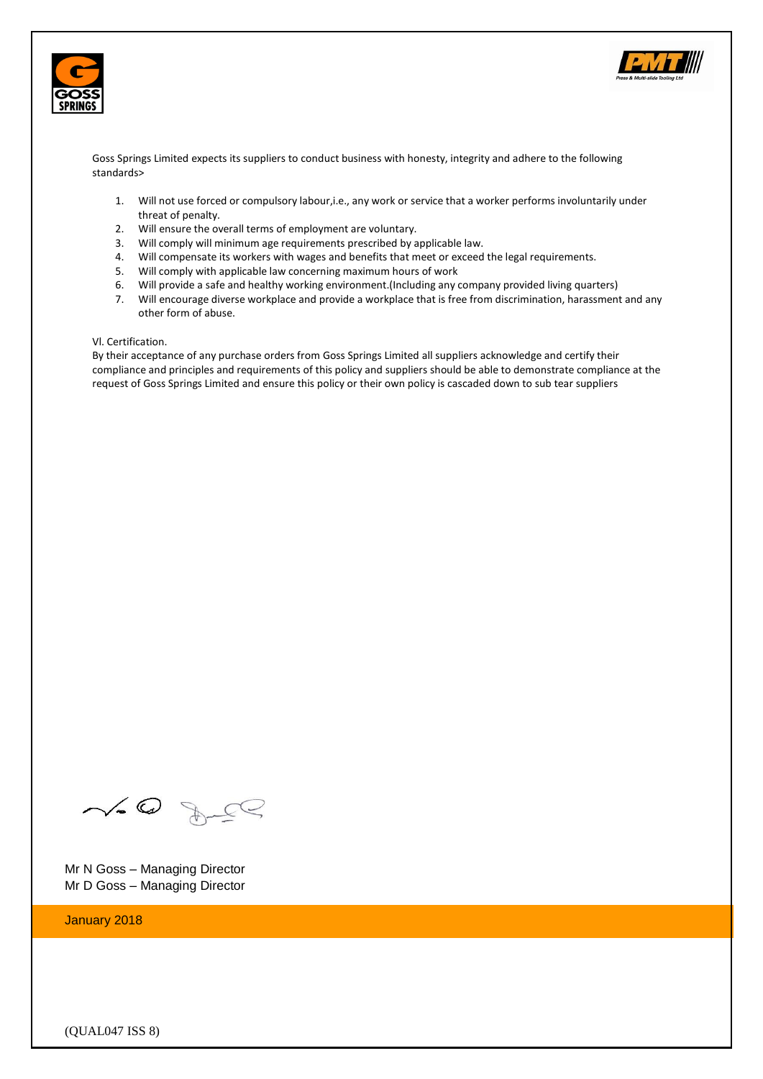



Goss Springs Limited expects its suppliers to conduct business with honesty, integrity and adhere to the following standards>

- 1. Will not use forced or compulsory labour,i.e., any work or service that a worker performs involuntarily under threat of penalty.
- 2. Will ensure the overall terms of employment are voluntary.
- 3. Will comply will minimum age requirements prescribed by applicable law.
- 4. Will compensate its workers with wages and benefits that meet or exceed the legal requirements.
- 5. Will comply with applicable law concerning maximum hours of work
- 6. Will provide a safe and healthy working environment.(Including any company provided living quarters)
- 7. Will encourage diverse workplace and provide a workplace that is free from discrimination, harassment and any other form of abuse.

# Vl. Certification.

By their acceptance of any purchase orders from Goss Springs Limited all suppliers acknowledge and certify their compliance and principles and requirements of this policy and suppliers should be able to demonstrate compliance at the request of Goss Springs Limited and ensure this policy or their own policy is cascaded down to sub tear suppliers

 $\sim 0$  deg

Mr N Goss – Managing Director Mr D Goss – Managing Director

January 2018

(QUAL047 ISS 8)